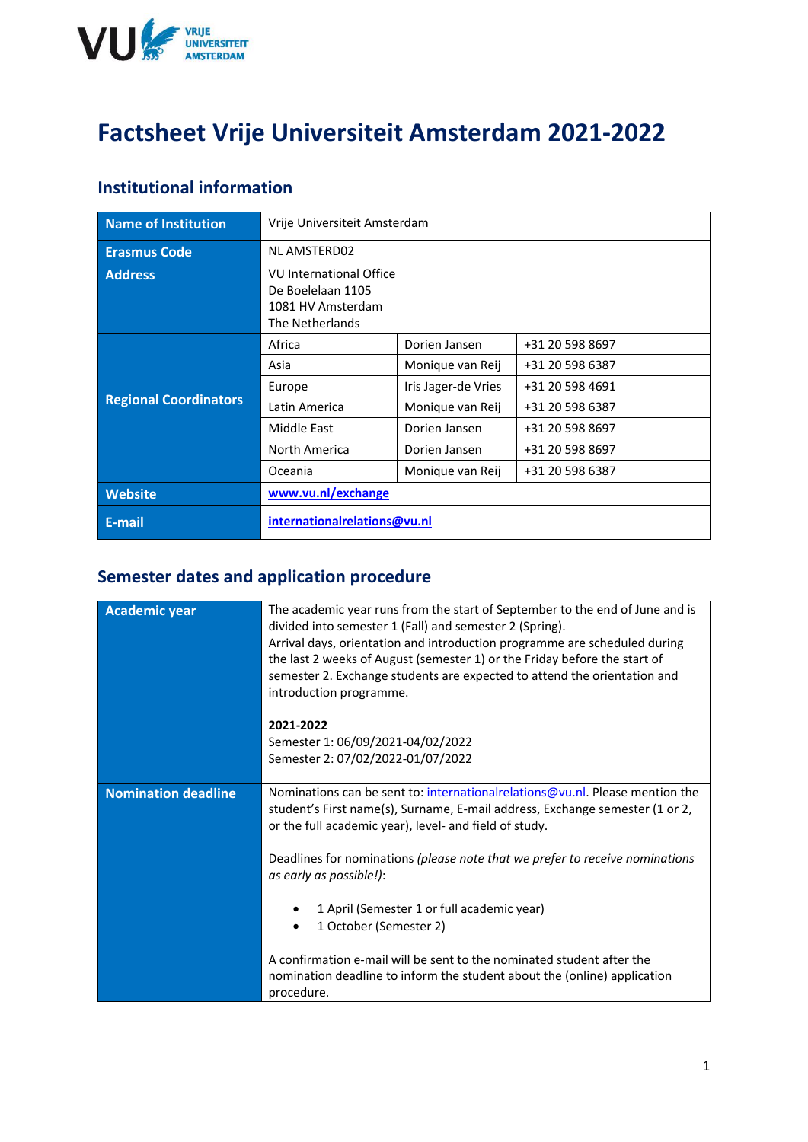

# **Factsheet Vrije Universiteit Amsterdam 2021-2022**

#### **Institutional information**

| Name of Institution          | Vrije Universiteit Amsterdam                                                                |                     |                 |  |
|------------------------------|---------------------------------------------------------------------------------------------|---------------------|-----------------|--|
| <b>Erasmus Code</b>          | <b>NL AMSTERD02</b>                                                                         |                     |                 |  |
| <b>Address</b>               | <b>VU International Office</b><br>De Boelelaan 1105<br>1081 HV Amsterdam<br>The Netherlands |                     |                 |  |
| <b>Regional Coordinators</b> | Africa                                                                                      | Dorien Jansen       | +31 20 598 8697 |  |
|                              | Asia                                                                                        | Monique van Reij    | +31 20 598 6387 |  |
|                              | Europe                                                                                      | Iris Jager-de Vries | +31 20 598 4691 |  |
|                              | Latin America                                                                               | Monique van Reij    | +31 20 598 6387 |  |
|                              | Middle East                                                                                 | Dorien Jansen       | +31 20 598 8697 |  |
|                              | North America                                                                               | Dorien Jansen       | +31 20 598 8697 |  |
|                              | Oceania                                                                                     | Monique van Reij    | +31 20 598 6387 |  |
| <b>Website</b>               | www.vu.nl/exchange                                                                          |                     |                 |  |
| E-mail                       | internationalrelations@vu.nl                                                                |                     |                 |  |

### **Semester dates and application procedure**

| <b>Academic year</b> | The academic year runs from the start of September to the end of June and is<br>divided into semester 1 (Fall) and semester 2 (Spring).<br>Arrival days, orientation and introduction programme are scheduled during<br>the last 2 weeks of August (semester 1) or the Friday before the start of<br>semester 2. Exchange students are expected to attend the orientation and<br>introduction programme. |  |
|----------------------|----------------------------------------------------------------------------------------------------------------------------------------------------------------------------------------------------------------------------------------------------------------------------------------------------------------------------------------------------------------------------------------------------------|--|
|                      | 2021-2022<br>Semester 1: 06/09/2021-04/02/2022<br>Semester 2: 07/02/2022-01/07/2022                                                                                                                                                                                                                                                                                                                      |  |
| Nomination deadline  | Nominations can be sent to: internationalrelations@vu.nl. Please mention the<br>student's First name(s), Surname, E-mail address, Exchange semester (1 or 2,<br>or the full academic year), level- and field of study.                                                                                                                                                                                   |  |
|                      | Deadlines for nominations (please note that we prefer to receive nominations<br>as early as possible!):                                                                                                                                                                                                                                                                                                  |  |
|                      | 1 April (Semester 1 or full academic year)<br>1 October (Semester 2)                                                                                                                                                                                                                                                                                                                                     |  |
|                      | A confirmation e-mail will be sent to the nominated student after the<br>nomination deadline to inform the student about the (online) application<br>procedure.                                                                                                                                                                                                                                          |  |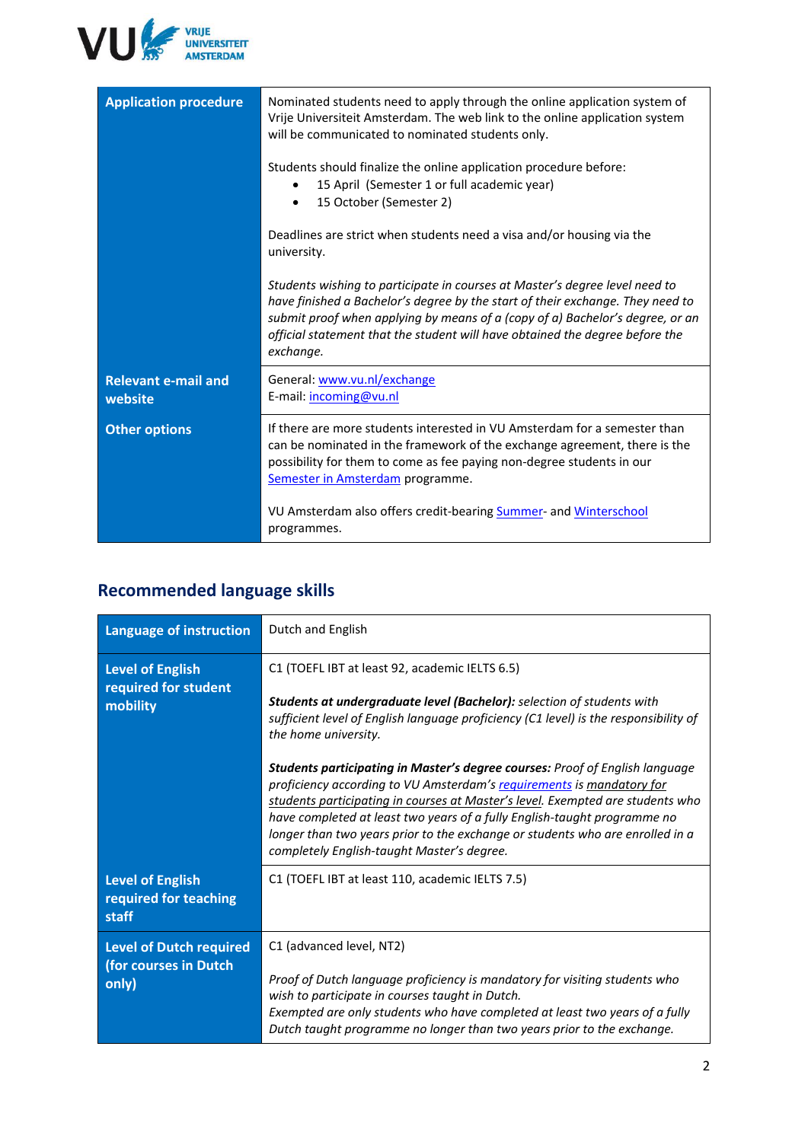

| <b>Application procedure</b>          | Nominated students need to apply through the online application system of<br>Vrije Universiteit Amsterdam. The web link to the online application system<br>will be communicated to nominated students only.                                                                                                                                |  |  |
|---------------------------------------|---------------------------------------------------------------------------------------------------------------------------------------------------------------------------------------------------------------------------------------------------------------------------------------------------------------------------------------------|--|--|
|                                       | Students should finalize the online application procedure before:<br>15 April (Semester 1 or full academic year)<br>15 October (Semester 2)                                                                                                                                                                                                 |  |  |
|                                       | Deadlines are strict when students need a visa and/or housing via the<br>university.                                                                                                                                                                                                                                                        |  |  |
|                                       | Students wishing to participate in courses at Master's degree level need to<br>have finished a Bachelor's degree by the start of their exchange. They need to<br>submit proof when applying by means of a (copy of a) Bachelor's degree, or an<br>official statement that the student will have obtained the degree before the<br>exchange. |  |  |
| <b>Relevant e-mail and</b><br>website | General: www.vu.nl/exchange<br>E-mail: incoming@vu.nl                                                                                                                                                                                                                                                                                       |  |  |
| <b>Other options</b>                  | If there are more students interested in VU Amsterdam for a semester than<br>can be nominated in the framework of the exchange agreement, there is the<br>possibility for them to come as fee paying non-degree students in our<br>Semester in Amsterdam programme.                                                                         |  |  |
|                                       | VU Amsterdam also offers credit-bearing Summer- and Winterschool<br>programmes.                                                                                                                                                                                                                                                             |  |  |

## **Recommended language skills**

| <b>Language of instruction</b>                                   | Dutch and English                                                                                                                                                                                                                                                                                                                                                                                                                                                                                                                                                                                                                                                                                            |
|------------------------------------------------------------------|--------------------------------------------------------------------------------------------------------------------------------------------------------------------------------------------------------------------------------------------------------------------------------------------------------------------------------------------------------------------------------------------------------------------------------------------------------------------------------------------------------------------------------------------------------------------------------------------------------------------------------------------------------------------------------------------------------------|
| <b>Level of English</b><br>required for student<br>mobility      | C1 (TOEFL IBT at least 92, academic IELTS 6.5)<br><b>Students at undergraduate level (Bachelor):</b> selection of students with<br>sufficient level of English language proficiency (C1 level) is the responsibility of<br>the home university.<br><b>Students participating in Master's degree courses: Proof of English language</b><br>proficiency according to VU Amsterdam's requirements is mandatory for<br>students participating in courses at Master's level. Exempted are students who<br>have completed at least two years of a fully English-taught programme no<br>longer than two years prior to the exchange or students who are enrolled in a<br>completely English-taught Master's degree. |
| <b>Level of English</b><br>required for teaching<br>staff        | C1 (TOEFL IBT at least 110, academic IELTS 7.5)                                                                                                                                                                                                                                                                                                                                                                                                                                                                                                                                                                                                                                                              |
| <b>Level of Dutch required</b><br>(for courses in Dutch<br>only) | C1 (advanced level, NT2)<br>Proof of Dutch language proficiency is mandatory for visiting students who<br>wish to participate in courses taught in Dutch.<br>Exempted are only students who have completed at least two years of a fully<br>Dutch taught programme no longer than two years prior to the exchange.                                                                                                                                                                                                                                                                                                                                                                                           |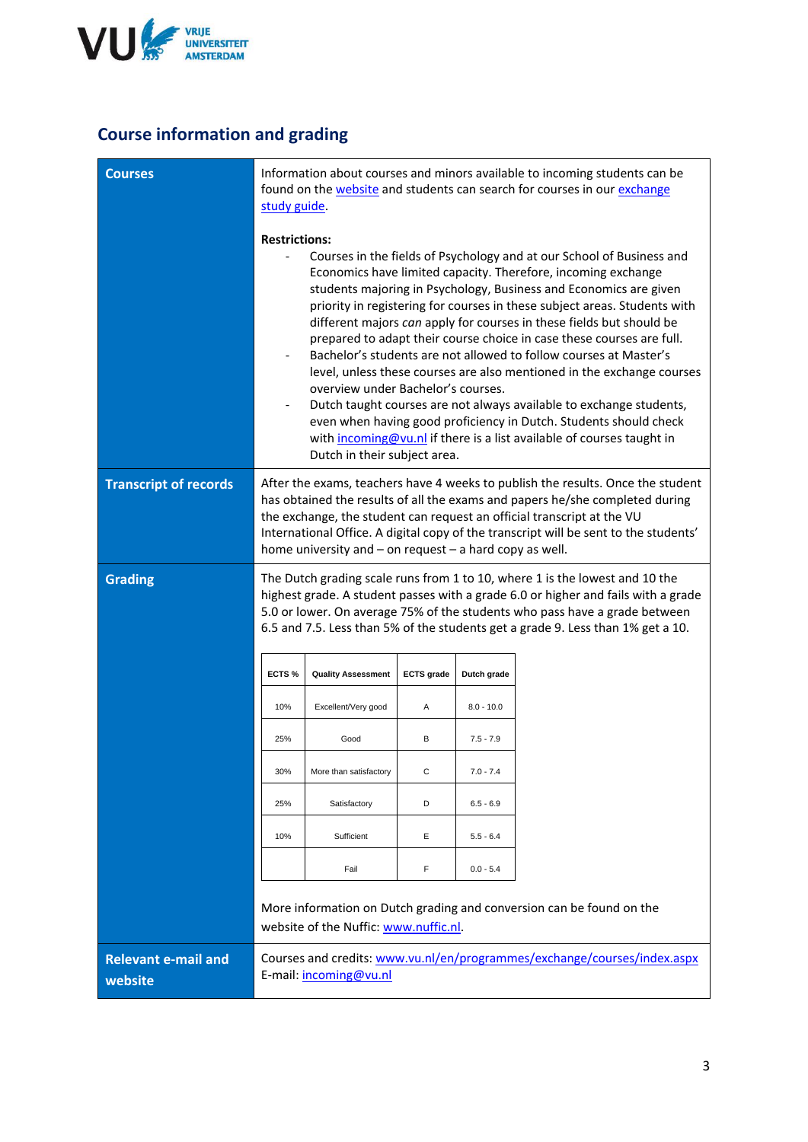

### **Course information and grading**

| <b>Courses</b>                        | Information about courses and minors available to incoming students can be<br>found on the <b>website</b> and students can search for courses in our <i>exchange</i><br>study guide.                                                                                                                                                                                                             |                                                                    |                   |              |                                                                                                                                                                                                                                                                                                                                                                                                                                                                                                                                                                                                                                                                                                                                                                                                               |
|---------------------------------------|--------------------------------------------------------------------------------------------------------------------------------------------------------------------------------------------------------------------------------------------------------------------------------------------------------------------------------------------------------------------------------------------------|--------------------------------------------------------------------|-------------------|--------------|---------------------------------------------------------------------------------------------------------------------------------------------------------------------------------------------------------------------------------------------------------------------------------------------------------------------------------------------------------------------------------------------------------------------------------------------------------------------------------------------------------------------------------------------------------------------------------------------------------------------------------------------------------------------------------------------------------------------------------------------------------------------------------------------------------------|
|                                       | <b>Restrictions:</b>                                                                                                                                                                                                                                                                                                                                                                             | overview under Bachelor's courses.<br>Dutch in their subject area. |                   |              | Courses in the fields of Psychology and at our School of Business and<br>Economics have limited capacity. Therefore, incoming exchange<br>students majoring in Psychology, Business and Economics are given<br>priority in registering for courses in these subject areas. Students with<br>different majors can apply for courses in these fields but should be<br>prepared to adapt their course choice in case these courses are full.<br>Bachelor's students are not allowed to follow courses at Master's<br>level, unless these courses are also mentioned in the exchange courses<br>Dutch taught courses are not always available to exchange students,<br>even when having good proficiency in Dutch. Students should check<br>with incoming@vu.nl if there is a list available of courses taught in |
| <b>Transcript of records</b>          | After the exams, teachers have 4 weeks to publish the results. Once the student<br>has obtained the results of all the exams and papers he/she completed during<br>the exchange, the student can request an official transcript at the VU<br>International Office. A digital copy of the transcript will be sent to the students'<br>home university and $-$ on request $-$ a hard copy as well. |                                                                    |                   |              |                                                                                                                                                                                                                                                                                                                                                                                                                                                                                                                                                                                                                                                                                                                                                                                                               |
| <b>Grading</b>                        | The Dutch grading scale runs from 1 to 10, where 1 is the lowest and 10 the<br>highest grade. A student passes with a grade 6.0 or higher and fails with a grade<br>5.0 or lower. On average 75% of the students who pass have a grade between<br>6.5 and 7.5. Less than 5% of the students get a grade 9. Less than 1% get a 10.                                                                |                                                                    |                   |              |                                                                                                                                                                                                                                                                                                                                                                                                                                                                                                                                                                                                                                                                                                                                                                                                               |
|                                       | ECTS <sub>%</sub>                                                                                                                                                                                                                                                                                                                                                                                | <b>Quality Assessment</b>                                          | <b>ECTS</b> grade | Dutch grade  |                                                                                                                                                                                                                                                                                                                                                                                                                                                                                                                                                                                                                                                                                                                                                                                                               |
|                                       | 10%                                                                                                                                                                                                                                                                                                                                                                                              | Excellent/Very good                                                | Α                 | $8.0 - 10.0$ |                                                                                                                                                                                                                                                                                                                                                                                                                                                                                                                                                                                                                                                                                                                                                                                                               |
|                                       | 25%                                                                                                                                                                                                                                                                                                                                                                                              | Good                                                               | в                 | $7.5 - 7.9$  |                                                                                                                                                                                                                                                                                                                                                                                                                                                                                                                                                                                                                                                                                                                                                                                                               |
|                                       | 30%                                                                                                                                                                                                                                                                                                                                                                                              | More than satisfactory                                             | $\mathsf C$       | $7.0 - 7.4$  |                                                                                                                                                                                                                                                                                                                                                                                                                                                                                                                                                                                                                                                                                                                                                                                                               |
|                                       | 25%                                                                                                                                                                                                                                                                                                                                                                                              | Satisfactory                                                       | D                 | $6.5 - 6.9$  |                                                                                                                                                                                                                                                                                                                                                                                                                                                                                                                                                                                                                                                                                                                                                                                                               |
|                                       | 10%                                                                                                                                                                                                                                                                                                                                                                                              | Sufficient                                                         | Е                 | $5.5 - 6.4$  |                                                                                                                                                                                                                                                                                                                                                                                                                                                                                                                                                                                                                                                                                                                                                                                                               |
|                                       |                                                                                                                                                                                                                                                                                                                                                                                                  | Fail                                                               | F                 | $0.0 - 5.4$  |                                                                                                                                                                                                                                                                                                                                                                                                                                                                                                                                                                                                                                                                                                                                                                                                               |
|                                       |                                                                                                                                                                                                                                                                                                                                                                                                  | website of the Nuffic: www.nuffic.nl.                              |                   |              | More information on Dutch grading and conversion can be found on the                                                                                                                                                                                                                                                                                                                                                                                                                                                                                                                                                                                                                                                                                                                                          |
| <b>Relevant e-mail and</b><br>website |                                                                                                                                                                                                                                                                                                                                                                                                  | E-mail: incoming@vu.nl                                             |                   |              | Courses and credits: www.vu.nl/en/programmes/exchange/courses/index.aspx                                                                                                                                                                                                                                                                                                                                                                                                                                                                                                                                                                                                                                                                                                                                      |